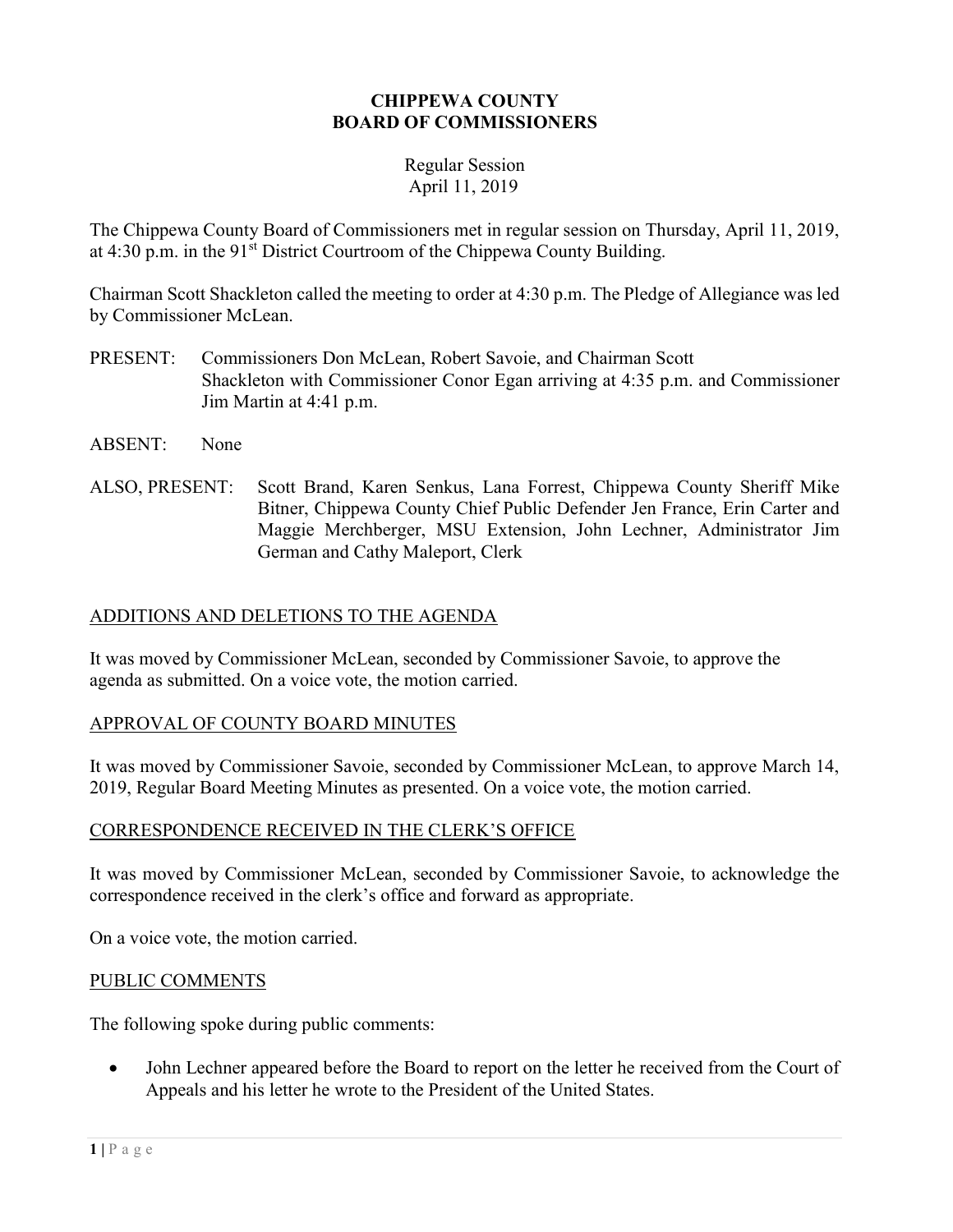#### CHIPPEWA COUNTY BOARD OF COMMISSIONERS

#### Regular Session April 11, 2019

The Chippewa County Board of Commissioners met in regular session on Thursday, April 11, 2019, at  $4:30$  p.m. in the  $91<sup>st</sup>$  District Courtroom of the Chippewa County Building.

Chairman Scott Shackleton called the meeting to order at 4:30 p.m. The Pledge of Allegiance was led by Commissioner McLean.

- PRESENT: Commissioners Don McLean, Robert Savoie, and Chairman Scott Shackleton with Commissioner Conor Egan arriving at 4:35 p.m. and Commissioner Jim Martin at 4:41 p.m.
- ABSENT: None
- ALSO, PRESENT: Scott Brand, Karen Senkus, Lana Forrest, Chippewa County Sheriff Mike Bitner, Chippewa County Chief Public Defender Jen France, Erin Carter and Maggie Merchberger, MSU Extension, John Lechner, Administrator Jim German and Cathy Maleport, Clerk

## ADDITIONS AND DELETIONS TO THE AGENDA

It was moved by Commissioner McLean, seconded by Commissioner Savoie, to approve the agenda as submitted. On a voice vote, the motion carried.

## APPROVAL OF COUNTY BOARD MINUTES

It was moved by Commissioner Savoie, seconded by Commissioner McLean, to approve March 14, 2019, Regular Board Meeting Minutes as presented. On a voice vote, the motion carried.

## CORRESPONDENCE RECEIVED IN THE CLERK'S OFFICE

It was moved by Commissioner McLean, seconded by Commissioner Savoie, to acknowledge the correspondence received in the clerk's office and forward as appropriate.

On a voice vote, the motion carried.

## PUBLIC COMMENTS

The following spoke during public comments:

 John Lechner appeared before the Board to report on the letter he received from the Court of Appeals and his letter he wrote to the President of the United States.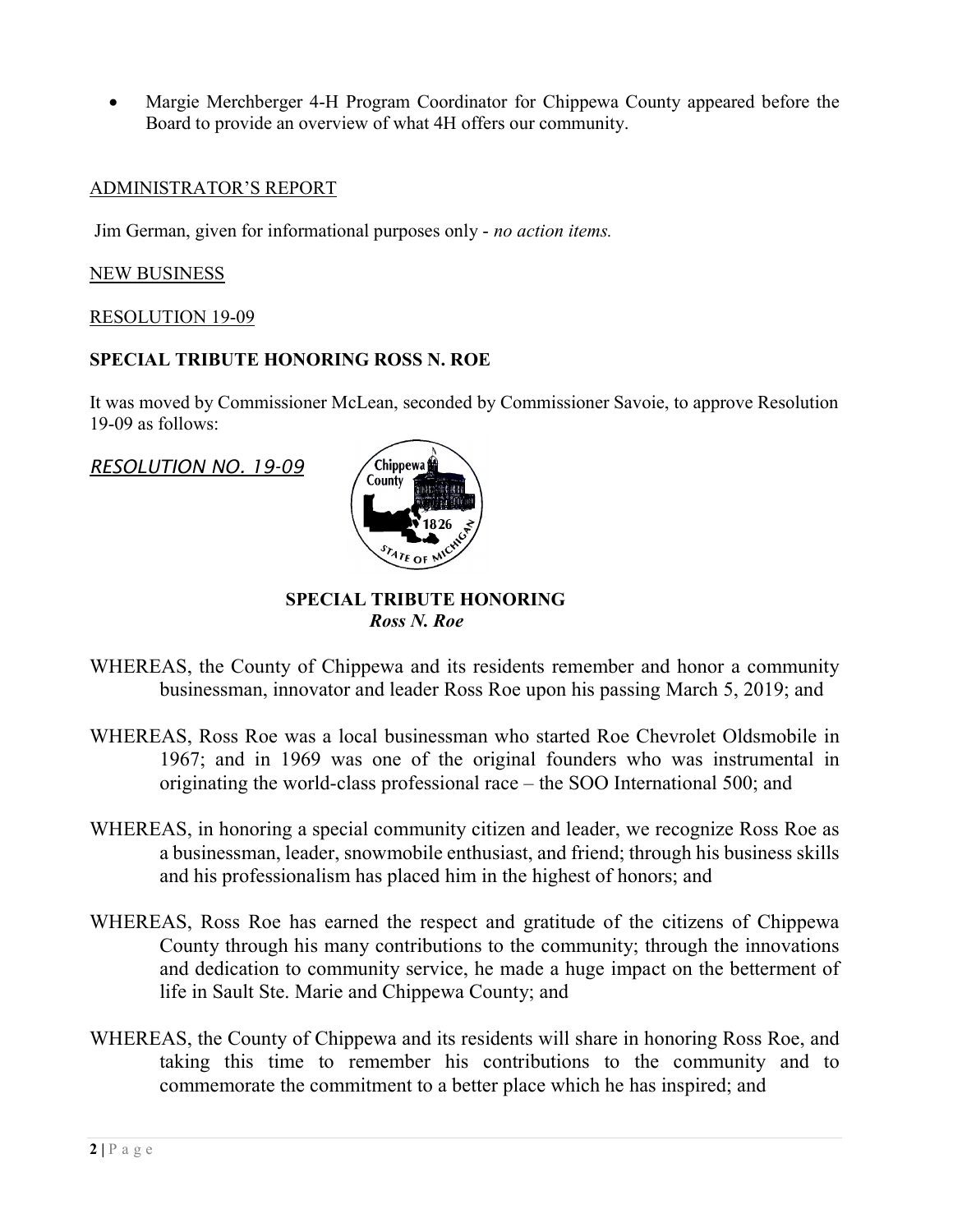Margie Merchberger 4-H Program Coordinator for Chippewa County appeared before the Board to provide an overview of what 4H offers our community.

#### ADMINISTRATOR'S REPORT

Jim German, given for informational purposes only - no action items.

#### NEW BUSINESS

#### RESOLUTION 19-09

#### SPECIAL TRIBUTE HONORING ROSS N. ROE

It was moved by Commissioner McLean, seconded by Commissioner Savoie, to approve Resolution 19-09 as follows:

RESOLUTION NO. 19-09



#### SPECIAL TRIBUTE HONORING Ross N. Roe

- WHEREAS, the County of Chippewa and its residents remember and honor a community businessman, innovator and leader Ross Roe upon his passing March 5, 2019; and
- WHEREAS, Ross Roe was a local businessman who started Roe Chevrolet Oldsmobile in 1967; and in 1969 was one of the original founders who was instrumental in originating the world-class professional race – the SOO International 500; and
- WHEREAS, in honoring a special community citizen and leader, we recognize Ross Roe as a businessman, leader, snowmobile enthusiast, and friend; through his business skills and his professionalism has placed him in the highest of honors; and
- WHEREAS, Ross Roe has earned the respect and gratitude of the citizens of Chippewa County through his many contributions to the community; through the innovations and dedication to community service, he made a huge impact on the betterment of life in Sault Ste. Marie and Chippewa County; and
- WHEREAS, the County of Chippewa and its residents will share in honoring Ross Roe, and taking this time to remember his contributions to the community and to commemorate the commitment to a better place which he has inspired; and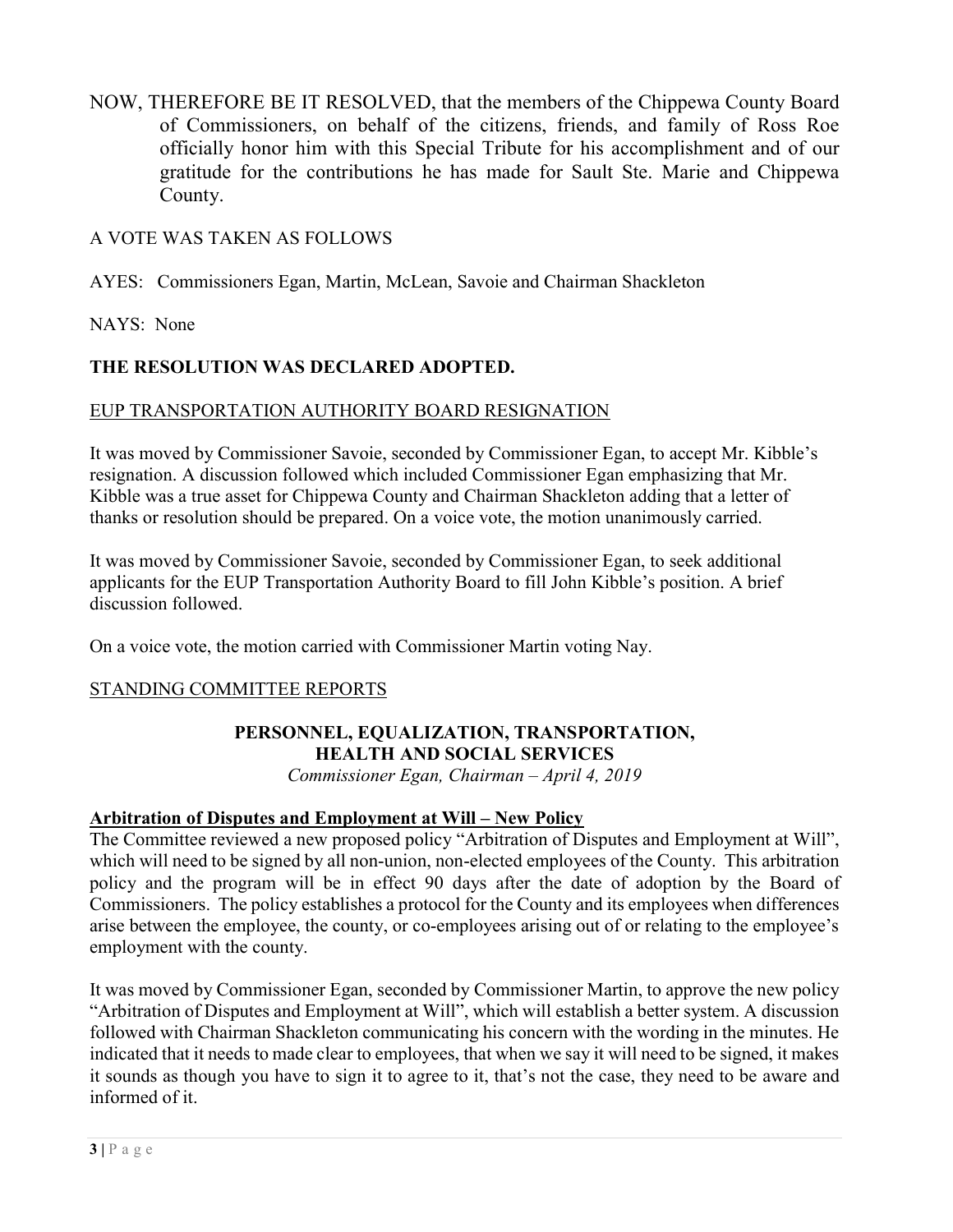NOW, THEREFORE BE IT RESOLVED, that the members of the Chippewa County Board of Commissioners, on behalf of the citizens, friends, and family of Ross Roe officially honor him with this Special Tribute for his accomplishment and of our gratitude for the contributions he has made for Sault Ste. Marie and Chippewa County.

# A VOTE WAS TAKEN AS FOLLOWS

AYES: Commissioners Egan, Martin, McLean, Savoie and Chairman Shackleton

## NAYS: None

# THE RESOLUTION WAS DECLARED ADOPTED.

## EUP TRANSPORTATION AUTHORITY BOARD RESIGNATION

It was moved by Commissioner Savoie, seconded by Commissioner Egan, to accept Mr. Kibble's resignation. A discussion followed which included Commissioner Egan emphasizing that Mr. Kibble was a true asset for Chippewa County and Chairman Shackleton adding that a letter of thanks or resolution should be prepared. On a voice vote, the motion unanimously carried.

It was moved by Commissioner Savoie, seconded by Commissioner Egan, to seek additional applicants for the EUP Transportation Authority Board to fill John Kibble's position. A brief discussion followed.

On a voice vote, the motion carried with Commissioner Martin voting Nay.

## STANDING COMMITTEE REPORTS

# PERSONNEL, EQUALIZATION, TRANSPORTATION, HEALTH AND SOCIAL SERVICES

Commissioner Egan, Chairman – April 4, 2019

## Arbitration of Disputes and Employment at Will – New Policy

The Committee reviewed a new proposed policy "Arbitration of Disputes and Employment at Will", which will need to be signed by all non-union, non-elected employees of the County. This arbitration policy and the program will be in effect 90 days after the date of adoption by the Board of Commissioners. The policy establishes a protocol for the County and its employees when differences arise between the employee, the county, or co-employees arising out of or relating to the employee's employment with the county.

It was moved by Commissioner Egan, seconded by Commissioner Martin, to approve the new policy "Arbitration of Disputes and Employment at Will", which will establish a better system. A discussion followed with Chairman Shackleton communicating his concern with the wording in the minutes. He indicated that it needs to made clear to employees, that when we say it will need to be signed, it makes it sounds as though you have to sign it to agree to it, that's not the case, they need to be aware and informed of it.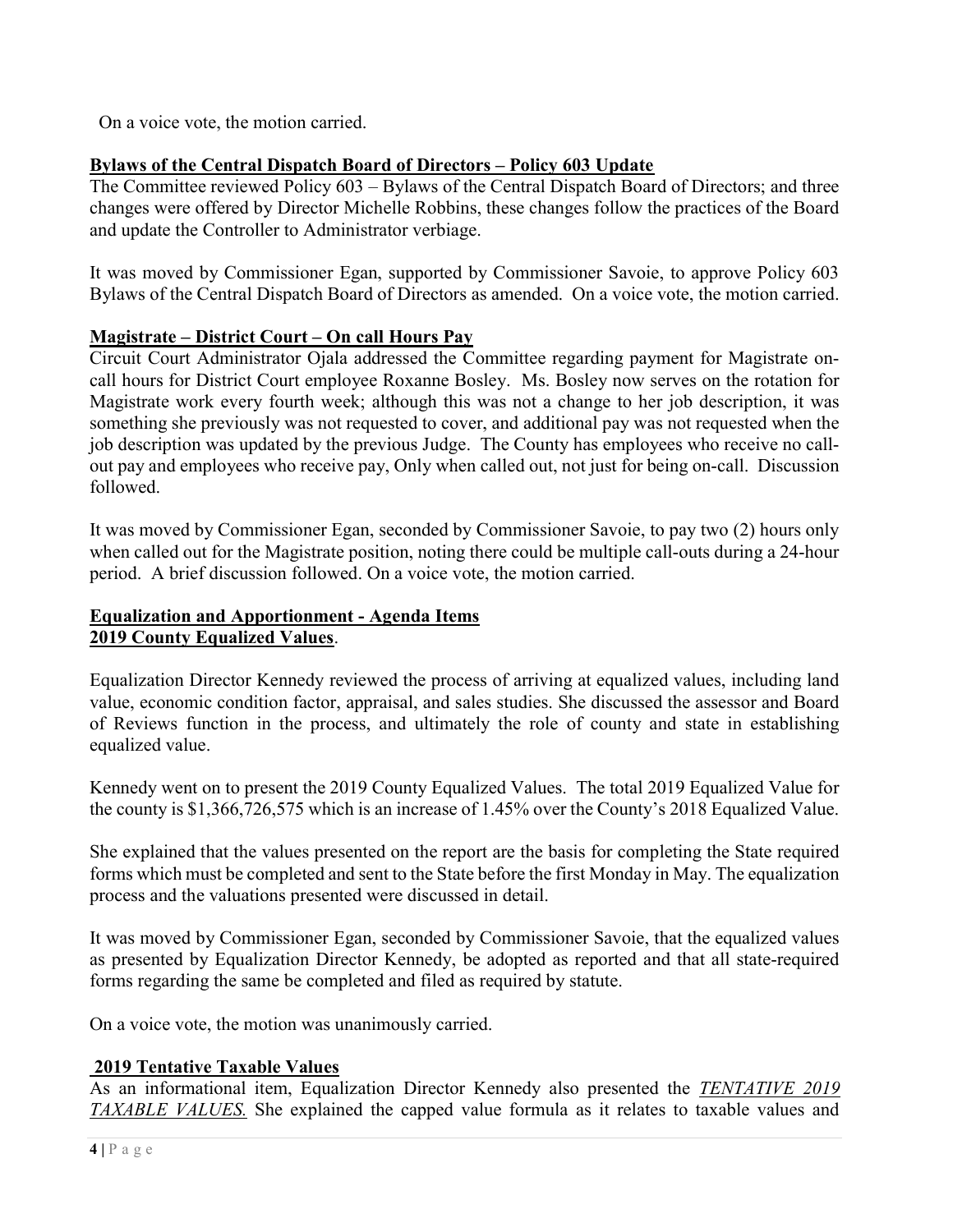On a voice vote, the motion carried.

# Bylaws of the Central Dispatch Board of Directors – Policy 603 Update

The Committee reviewed Policy 603 – Bylaws of the Central Dispatch Board of Directors; and three changes were offered by Director Michelle Robbins, these changes follow the practices of the Board and update the Controller to Administrator verbiage.

It was moved by Commissioner Egan, supported by Commissioner Savoie, to approve Policy 603 Bylaws of the Central Dispatch Board of Directors as amended. On a voice vote, the motion carried.

# Magistrate – District Court – On call Hours Pay

Circuit Court Administrator Ojala addressed the Committee regarding payment for Magistrate oncall hours for District Court employee Roxanne Bosley. Ms. Bosley now serves on the rotation for Magistrate work every fourth week; although this was not a change to her job description, it was something she previously was not requested to cover, and additional pay was not requested when the job description was updated by the previous Judge. The County has employees who receive no callout pay and employees who receive pay, Only when called out, not just for being on-call. Discussion followed.

It was moved by Commissioner Egan, seconded by Commissioner Savoie, to pay two (2) hours only when called out for the Magistrate position, noting there could be multiple call-outs during a 24-hour period. A brief discussion followed. On a voice vote, the motion carried.

# Equalization and Apportionment - Agenda Items 2019 County Equalized Values.

Equalization Director Kennedy reviewed the process of arriving at equalized values, including land value, economic condition factor, appraisal, and sales studies. She discussed the assessor and Board of Reviews function in the process, and ultimately the role of county and state in establishing equalized value.

Kennedy went on to present the 2019 County Equalized Values. The total 2019 Equalized Value for the county is \$1,366,726,575 which is an increase of 1.45% over the County's 2018 Equalized Value.

She explained that the values presented on the report are the basis for completing the State required forms which must be completed and sent to the State before the first Monday in May. The equalization process and the valuations presented were discussed in detail.

It was moved by Commissioner Egan, seconded by Commissioner Savoie, that the equalized values as presented by Equalization Director Kennedy, be adopted as reported and that all state-required forms regarding the same be completed and filed as required by statute.

On a voice vote, the motion was unanimously carried.

# 2019 Tentative Taxable Values

As an informational item, Equalization Director Kennedy also presented the TENTATIVE 2019 TAXABLE VALUES. She explained the capped value formula as it relates to taxable values and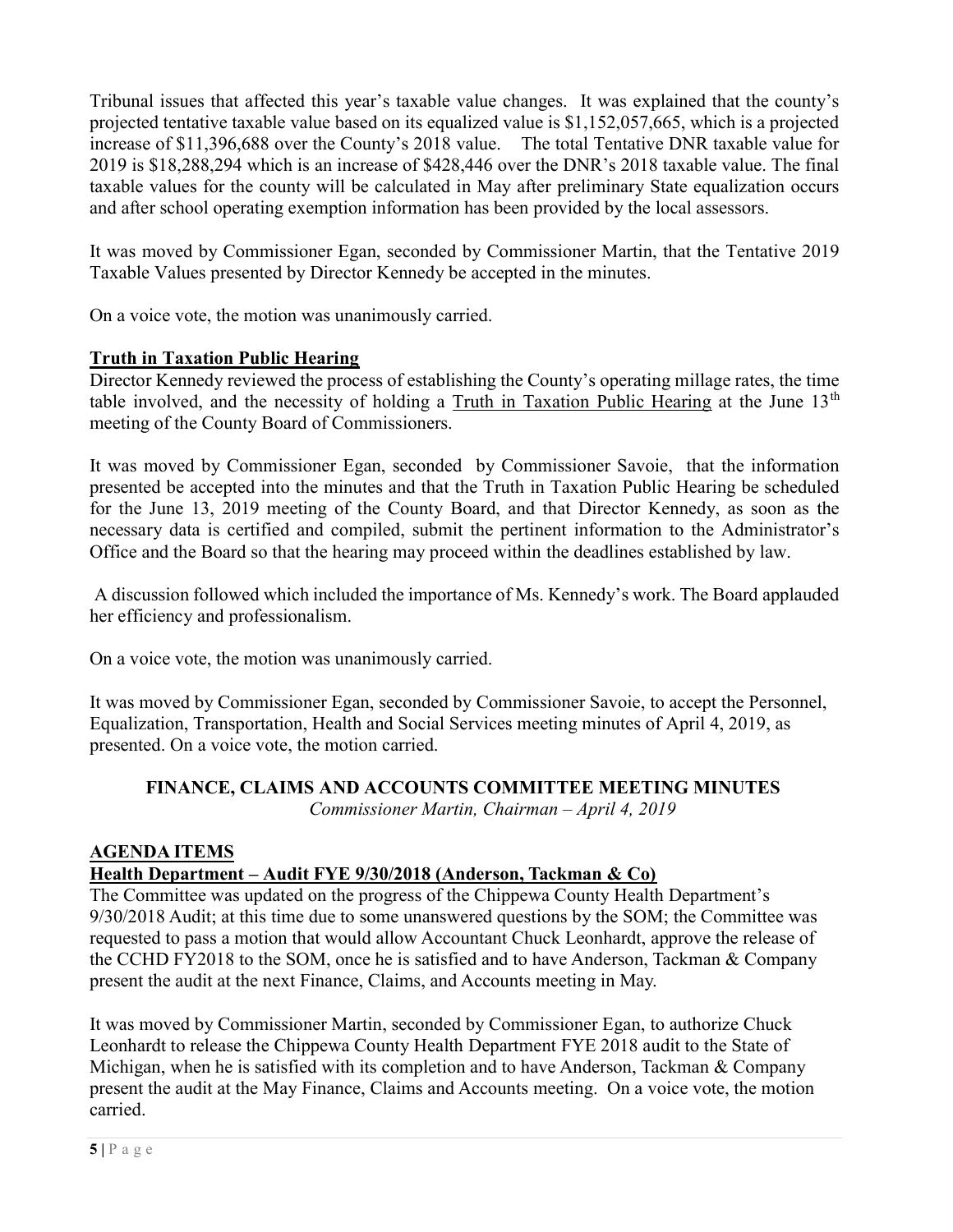Tribunal issues that affected this year's taxable value changes. It was explained that the county's projected tentative taxable value based on its equalized value is \$1,152,057,665, which is a projected increase of \$11,396,688 over the County's 2018 value. The total Tentative DNR taxable value for 2019 is \$18,288,294 which is an increase of \$428,446 over the DNR's 2018 taxable value. The final taxable values for the county will be calculated in May after preliminary State equalization occurs and after school operating exemption information has been provided by the local assessors.

It was moved by Commissioner Egan, seconded by Commissioner Martin, that the Tentative 2019 Taxable Values presented by Director Kennedy be accepted in the minutes.

On a voice vote, the motion was unanimously carried.

# Truth in Taxation Public Hearing

Director Kennedy reviewed the process of establishing the County's operating millage rates, the time table involved, and the necessity of holding a Truth in Taxation Public Hearing at the June  $13<sup>th</sup>$ meeting of the County Board of Commissioners.

It was moved by Commissioner Egan, seconded by Commissioner Savoie, that the information presented be accepted into the minutes and that the Truth in Taxation Public Hearing be scheduled for the June 13, 2019 meeting of the County Board, and that Director Kennedy, as soon as the necessary data is certified and compiled, submit the pertinent information to the Administrator's Office and the Board so that the hearing may proceed within the deadlines established by law.

 A discussion followed which included the importance of Ms. Kennedy's work. The Board applauded her efficiency and professionalism.

On a voice vote, the motion was unanimously carried.

It was moved by Commissioner Egan, seconded by Commissioner Savoie, to accept the Personnel, Equalization, Transportation, Health and Social Services meeting minutes of April 4, 2019, as presented. On a voice vote, the motion carried.

#### FINANCE, CLAIMS AND ACCOUNTS COMMITTEE MEETING MINUTES Commissioner Martin, Chairman – April 4, 2019

## AGENDA ITEMS

# Health Department – Audit FYE 9/30/2018 (Anderson, Tackman & Co)

The Committee was updated on the progress of the Chippewa County Health Department's 9/30/2018 Audit; at this time due to some unanswered questions by the SOM; the Committee was requested to pass a motion that would allow Accountant Chuck Leonhardt, approve the release of the CCHD FY2018 to the SOM, once he is satisfied and to have Anderson, Tackman & Company present the audit at the next Finance, Claims, and Accounts meeting in May.

It was moved by Commissioner Martin, seconded by Commissioner Egan, to authorize Chuck Leonhardt to release the Chippewa County Health Department FYE 2018 audit to the State of Michigan, when he is satisfied with its completion and to have Anderson, Tackman & Company present the audit at the May Finance, Claims and Accounts meeting. On a voice vote, the motion carried.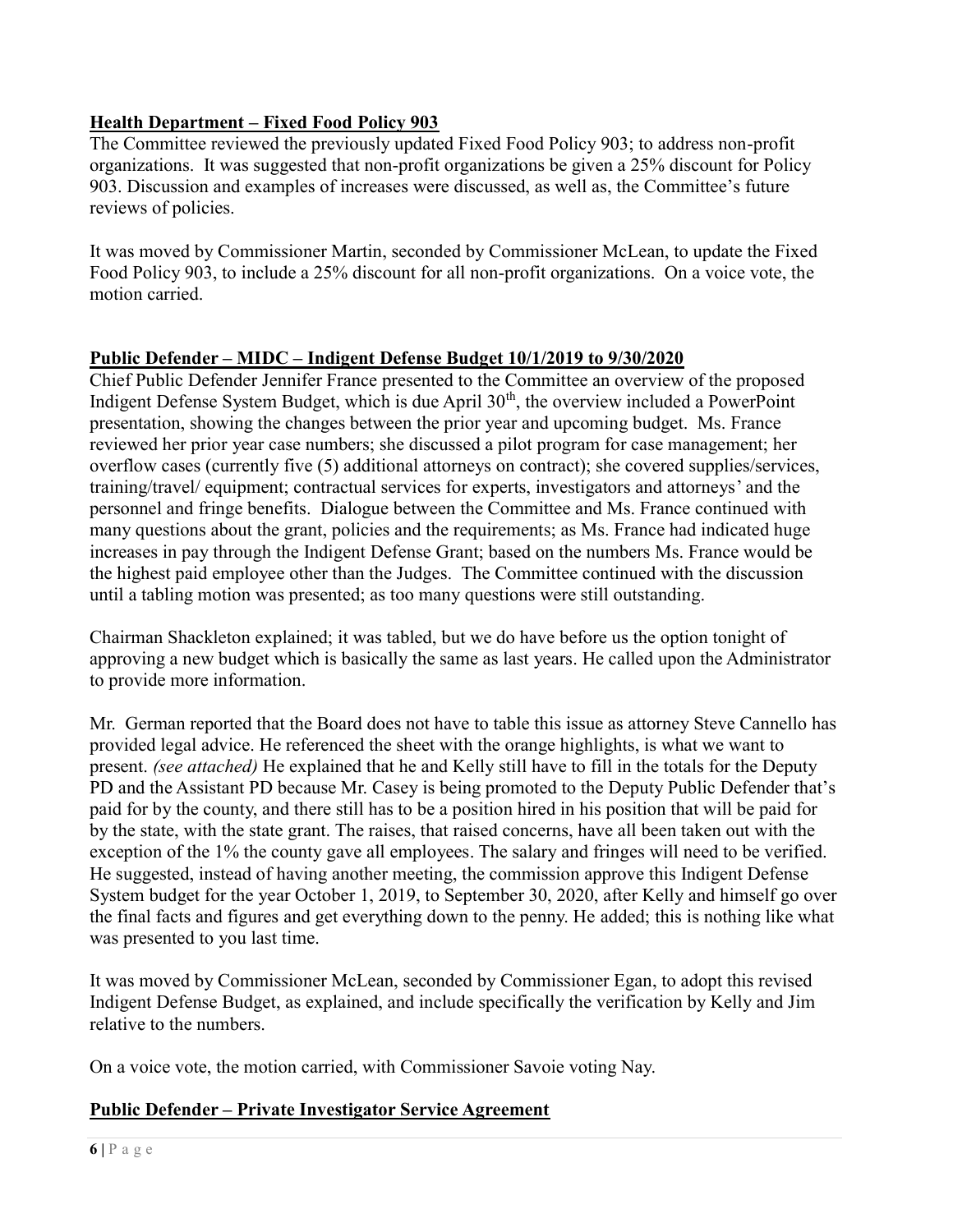# Health Department – Fixed Food Policy 903

The Committee reviewed the previously updated Fixed Food Policy 903; to address non-profit organizations. It was suggested that non-profit organizations be given a 25% discount for Policy 903. Discussion and examples of increases were discussed, as well as, the Committee's future reviews of policies.

It was moved by Commissioner Martin, seconded by Commissioner McLean, to update the Fixed Food Policy 903, to include a 25% discount for all non-profit organizations. On a voice vote, the motion carried.

## Public Defender – MIDC – Indigent Defense Budget 10/1/2019 to 9/30/2020

Chief Public Defender Jennifer France presented to the Committee an overview of the proposed Indigent Defense System Budget, which is due April  $30<sup>th</sup>$ , the overview included a PowerPoint presentation, showing the changes between the prior year and upcoming budget. Ms. France reviewed her prior year case numbers; she discussed a pilot program for case management; her overflow cases (currently five (5) additional attorneys on contract); she covered supplies/services, training/travel/ equipment; contractual services for experts, investigators and attorneys' and the personnel and fringe benefits. Dialogue between the Committee and Ms. France continued with many questions about the grant, policies and the requirements; as Ms. France had indicated huge increases in pay through the Indigent Defense Grant; based on the numbers Ms. France would be the highest paid employee other than the Judges. The Committee continued with the discussion until a tabling motion was presented; as too many questions were still outstanding.

Chairman Shackleton explained; it was tabled, but we do have before us the option tonight of approving a new budget which is basically the same as last years. He called upon the Administrator to provide more information.

Mr. German reported that the Board does not have to table this issue as attorney Steve Cannello has provided legal advice. He referenced the sheet with the orange highlights, is what we want to present. (see attached) He explained that he and Kelly still have to fill in the totals for the Deputy PD and the Assistant PD because Mr. Casey is being promoted to the Deputy Public Defender that's paid for by the county, and there still has to be a position hired in his position that will be paid for by the state, with the state grant. The raises, that raised concerns, have all been taken out with the exception of the 1% the county gave all employees. The salary and fringes will need to be verified. He suggested, instead of having another meeting, the commission approve this Indigent Defense System budget for the year October 1, 2019, to September 30, 2020, after Kelly and himself go over the final facts and figures and get everything down to the penny. He added; this is nothing like what was presented to you last time.

It was moved by Commissioner McLean, seconded by Commissioner Egan, to adopt this revised Indigent Defense Budget, as explained, and include specifically the verification by Kelly and Jim relative to the numbers.

On a voice vote, the motion carried, with Commissioner Savoie voting Nay.

# Public Defender – Private Investigator Service Agreement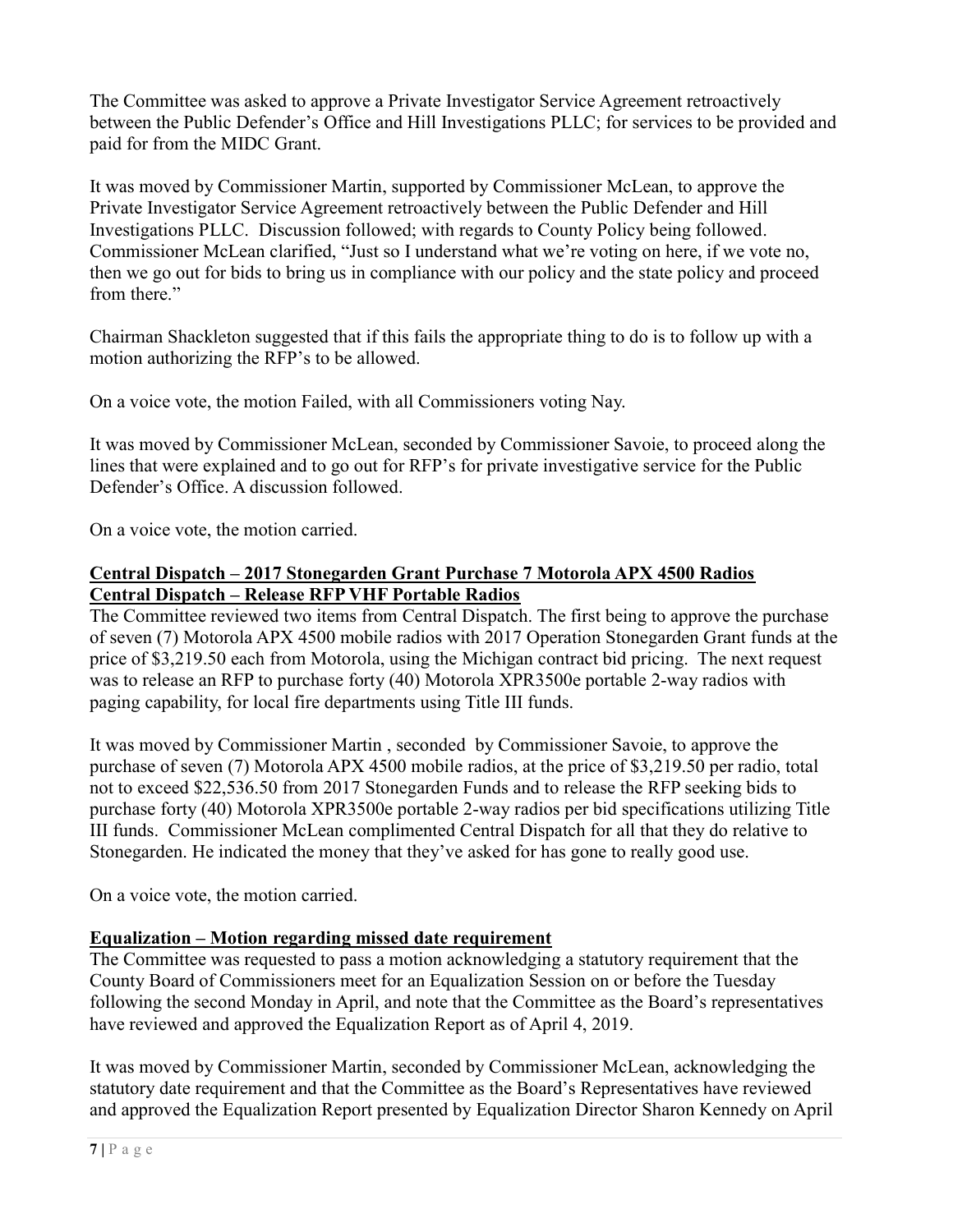The Committee was asked to approve a Private Investigator Service Agreement retroactively between the Public Defender's Office and Hill Investigations PLLC; for services to be provided and paid for from the MIDC Grant.

It was moved by Commissioner Martin, supported by Commissioner McLean, to approve the Private Investigator Service Agreement retroactively between the Public Defender and Hill Investigations PLLC. Discussion followed; with regards to County Policy being followed. Commissioner McLean clarified, "Just so I understand what we're voting on here, if we vote no, then we go out for bids to bring us in compliance with our policy and the state policy and proceed from there."

Chairman Shackleton suggested that if this fails the appropriate thing to do is to follow up with a motion authorizing the RFP's to be allowed.

On a voice vote, the motion Failed, with all Commissioners voting Nay.

It was moved by Commissioner McLean, seconded by Commissioner Savoie, to proceed along the lines that were explained and to go out for RFP's for private investigative service for the Public Defender's Office. A discussion followed.

On a voice vote, the motion carried.

# Central Dispatch – 2017 Stonegarden Grant Purchase 7 Motorola APX 4500 Radios Central Dispatch – Release RFP VHF Portable Radios

The Committee reviewed two items from Central Dispatch. The first being to approve the purchase of seven (7) Motorola APX 4500 mobile radios with 2017 Operation Stonegarden Grant funds at the price of \$3,219.50 each from Motorola, using the Michigan contract bid pricing. The next request was to release an RFP to purchase forty (40) Motorola XPR3500e portable 2-way radios with paging capability, for local fire departments using Title III funds.

It was moved by Commissioner Martin , seconded by Commissioner Savoie, to approve the purchase of seven (7) Motorola APX 4500 mobile radios, at the price of \$3,219.50 per radio, total not to exceed \$22,536.50 from 2017 Stonegarden Funds and to release the RFP seeking bids to purchase forty (40) Motorola XPR3500e portable 2-way radios per bid specifications utilizing Title III funds. Commissioner McLean complimented Central Dispatch for all that they do relative to Stonegarden. He indicated the money that they've asked for has gone to really good use.

On a voice vote, the motion carried.

# Equalization – Motion regarding missed date requirement

The Committee was requested to pass a motion acknowledging a statutory requirement that the County Board of Commissioners meet for an Equalization Session on or before the Tuesday following the second Monday in April, and note that the Committee as the Board's representatives have reviewed and approved the Equalization Report as of April 4, 2019.

It was moved by Commissioner Martin, seconded by Commissioner McLean, acknowledging the statutory date requirement and that the Committee as the Board's Representatives have reviewed and approved the Equalization Report presented by Equalization Director Sharon Kennedy on April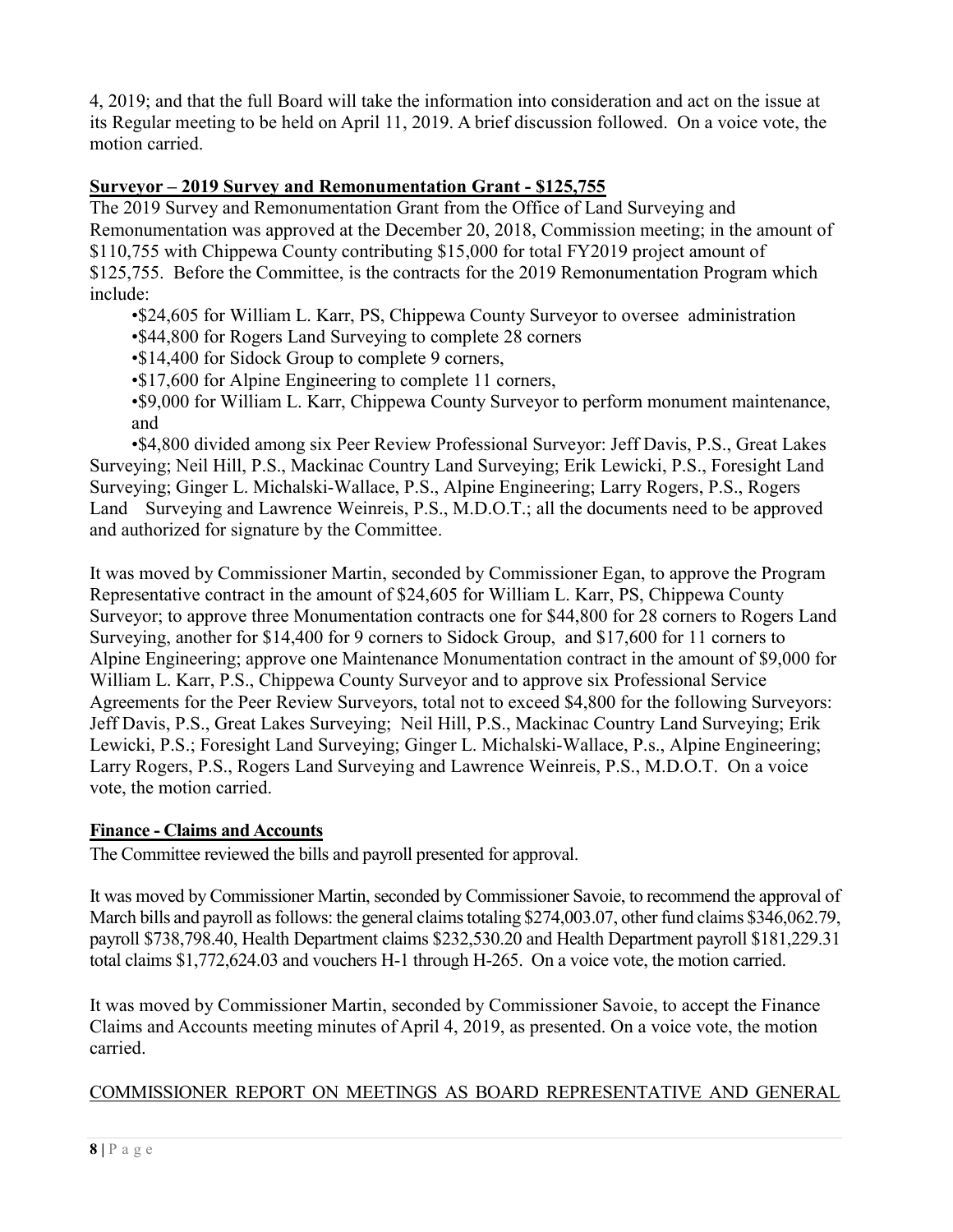4, 2019; and that the full Board will take the information into consideration and act on the issue at its Regular meeting to be held on April 11, 2019. A brief discussion followed. On a voice vote, the motion carried.

# Surveyor – 2019 Survey and Remonumentation Grant - \$125,755

The 2019 Survey and Remonumentation Grant from the Office of Land Surveying and Remonumentation was approved at the December 20, 2018, Commission meeting; in the amount of \$110,755 with Chippewa County contributing \$15,000 for total FY2019 project amount of \$125,755. Before the Committee, is the contracts for the 2019 Remonumentation Program which include:

•\$24,605 for William L. Karr, PS, Chippewa County Surveyor to oversee administration

- •\$44,800 for Rogers Land Surveying to complete 28 corners
- •\$14,400 for Sidock Group to complete 9 corners,
- •\$17,600 for Alpine Engineering to complete 11 corners,

•\$9,000 for William L. Karr, Chippewa County Surveyor to perform monument maintenance, and

 •\$4,800 divided among six Peer Review Professional Surveyor: Jeff Davis, P.S., Great Lakes Surveying; Neil Hill, P.S., Mackinac Country Land Surveying; Erik Lewicki, P.S., Foresight Land Surveying; Ginger L. Michalski-Wallace, P.S., Alpine Engineering; Larry Rogers, P.S., Rogers Land Surveying and Lawrence Weinreis, P.S., M.D.O.T.; all the documents need to be approved and authorized for signature by the Committee.

It was moved by Commissioner Martin, seconded by Commissioner Egan, to approve the Program Representative contract in the amount of \$24,605 for William L. Karr, PS, Chippewa County Surveyor; to approve three Monumentation contracts one for \$44,800 for 28 corners to Rogers Land Surveying, another for \$14,400 for 9 corners to Sidock Group, and \$17,600 for 11 corners to Alpine Engineering; approve one Maintenance Monumentation contract in the amount of \$9,000 for William L. Karr, P.S., Chippewa County Surveyor and to approve six Professional Service Agreements for the Peer Review Surveyors, total not to exceed \$4,800 for the following Surveyors: Jeff Davis, P.S., Great Lakes Surveying; Neil Hill, P.S., Mackinac Country Land Surveying; Erik Lewicki, P.S.; Foresight Land Surveying; Ginger L. Michalski-Wallace, P.s., Alpine Engineering; Larry Rogers, P.S., Rogers Land Surveying and Lawrence Weinreis, P.S., M.D.O.T. On a voice vote, the motion carried.

## Finance - Claims and Accounts

The Committee reviewed the bills and payroll presented for approval.

It was moved by Commissioner Martin, seconded by Commissioner Savoie, to recommend the approval of March bills and payroll as follows: the general claims totaling \$274,003.07, other fund claims \$346,062.79, payroll \$738,798.40, Health Department claims \$232,530.20 and Health Department payroll \$181,229.31 total claims \$1,772,624.03 and vouchers H-1 through H-265. On a voice vote, the motion carried.

It was moved by Commissioner Martin, seconded by Commissioner Savoie, to accept the Finance Claims and Accounts meeting minutes of April 4, 2019, as presented. On a voice vote, the motion carried.

# COMMISSIONER REPORT ON MEETINGS AS BOARD REPRESENTATIVE AND GENERAL